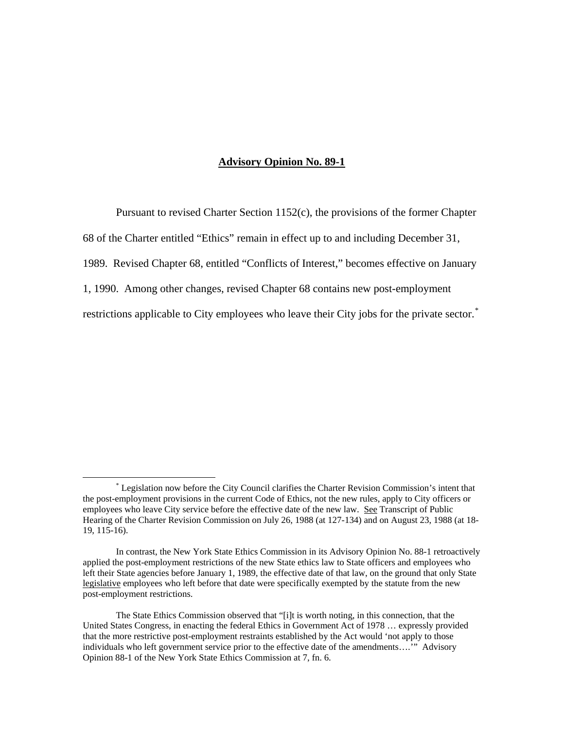## **Advisory Opinion No. 89-1**

Pursuant to revised Charter Section 1152(c), the provisions of the former Chapter 68 of the Charter entitled "Ethics" remain in effect up to and including December 31, 1989. Revised Chapter 68, entitled "Conflicts of Interest," becomes effective on January

1, 1990. Among other changes, revised Chapter 68 contains new post-employment

restrictions applicable to City employees who leave their City jobs for the private sector.<sup>[\\*](#page-0-0)</sup>

<span id="page-0-0"></span> <sup>\*</sup> Legislation now before the City Council clarifies the Charter Revision Commission's intent that the post-employment provisions in the current Code of Ethics, not the new rules, apply to City officers or employees who leave City service before the effective date of the new law. See Transcript of Public Hearing of the Charter Revision Commission on July 26, 1988 (at 127-134) and on August 23, 1988 (at 18- 19, 115-16).

In contrast, the New York State Ethics Commission in its Advisory Opinion No. 88-1 retroactively applied the post-employment restrictions of the new State ethics law to State officers and employees who left their State agencies before January 1, 1989, the effective date of that law, on the ground that only State legislative employees who left before that date were specifically exempted by the statute from the new post-employment restrictions.

The State Ethics Commission observed that "[i]t is worth noting, in this connection, that the United States Congress, in enacting the federal Ethics in Government Act of 1978 … expressly provided that the more restrictive post-employment restraints established by the Act would 'not apply to those individuals who left government service prior to the effective date of the amendments….'" Advisory Opinion 88-1 of the New York State Ethics Commission at 7, fn. 6.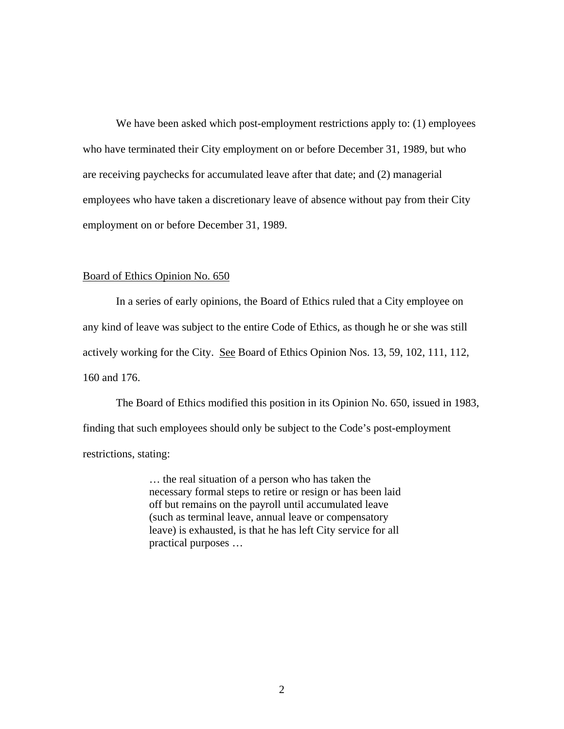We have been asked which post-employment restrictions apply to: (1) employees who have terminated their City employment on or before December 31, 1989, but who are receiving paychecks for accumulated leave after that date; and (2) managerial employees who have taken a discretionary leave of absence without pay from their City employment on or before December 31, 1989.

## Board of Ethics Opinion No. 650

In a series of early opinions, the Board of Ethics ruled that a City employee on any kind of leave was subject to the entire Code of Ethics, as though he or she was still actively working for the City. See Board of Ethics Opinion Nos. 13, 59, 102, 111, 112, 160 and 176.

The Board of Ethics modified this position in its Opinion No. 650, issued in 1983, finding that such employees should only be subject to the Code's post-employment restrictions, stating:

> … the real situation of a person who has taken the necessary formal steps to retire or resign or has been laid off but remains on the payroll until accumulated leave (such as terminal leave, annual leave or compensatory leave) is exhausted, is that he has left City service for all practical purposes …